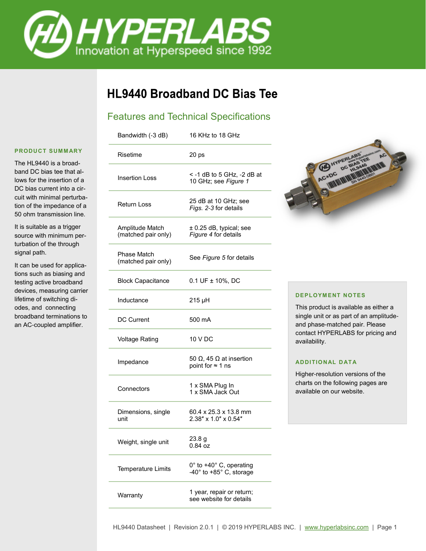

# **HL9440 Broadband DC Bias Tee**

## Features and Technical Specifications

| Bandwidth (-3 dB)                      | 16 KHz to 18 GHz                                     |
|----------------------------------------|------------------------------------------------------|
| Risetime                               | 20 <sub>ps</sub>                                     |
| <b>Insertion Loss</b>                  | < -1 dB to 5 GHz, -2 dB at<br>10 GHz; see Figure 1   |
| <b>Return Loss</b>                     | 25 dB at 10 GHz; see<br>Figs. 2-3 for details        |
| Amplitude Match<br>(matched pair only) | ± 0.25 dB, typical; see<br>Figure 4 for details      |
| Phase Match<br>(matched pair only)     | See Figure 5 for details                             |
| <b>Block Capacitance</b>               | $0.1 \text{UF} \pm 10\%$ , DC                        |
| Inductance                             | 215 µH                                               |
| <b>DC Current</b>                      | 500 mA                                               |
| <b>Voltage Rating</b>                  | 10 V DC                                              |
| Impedance                              | 50 Ω, 45 Ω at insertion<br>point for $\approx$ 1 ns  |
| Connectors                             | 1 x SMA Plug In<br>1 x SMA Jack Out                  |
| Dimensions, single<br>unit             | 60.4 x 25.3 x 13.8 mm<br>2.38" x 1.0" x 0.54"        |
| Weight, single unit                    | 23.8 g<br>$0.84$ oz                                  |
| <b>Temperature Limits</b>              | 0° to +40° C, operating<br>-40° to +85° C, storage   |
| Warranty                               | 1 year, repair or return;<br>see website for details |



#### **DEPLOYMENT NOTES**

This product is available as either a single unit or as part of an amplitudeand phase-matched pair. Please contact HYPERLABS for pricing and availability.

#### **ADDI TION AL D AT A**

Higher-resolution versions of the charts on the following pages are available on our website.

#### **PRODUCT SUMM ARY**

The HL9440 is a broadband DC bias tee that allows for the insertion of a DC bias current into a circuit with minimal perturbation of the impedance of a 50 ohm transmission line.

It is suitable as a trigger source with minimum perturbation of the through signal path.

It can be used for applications such as biasing and testing active broadband devices, measuring carrier lifetime of switching diodes, and connecting broadband terminations to an AC-coupled amplifier.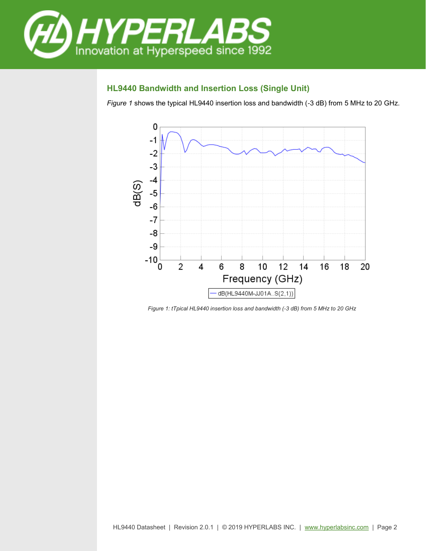

## **HL9440 Bandwidth and Insertion Loss (Single Unit)**

*Figure 1* shows the typical HL9440 insertion loss and bandwidth (-3 dB) from 5 MHz to 20 GHz.



*Figure 1: tTpical HL9440 insertion loss and bandwidth (-3 dB) from 5 MHz to 20 GHz*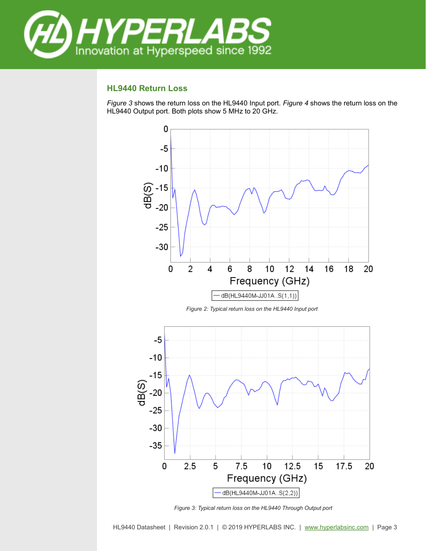

## **HL9440 Return Loss**

*Figure 3* shows the return loss on the HL9440 Input port. *Figure 4* shows the return loss on the HL9440 Output port. Both plots show 5 MHz to 20 GHz.



*Figure 3: Typical return loss on the HL9440 Through Output port*